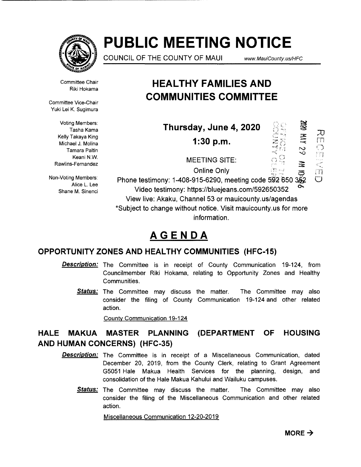

# **PUBLIC MEETING NOTICE**

COUNCIL OF THE COUNTY OF MAUl *www.* MauiCounty. us/HFC

Committee Chair Riki Hokama

Committee Vice-Chair Yuki Lei K. Sugimura

> Voting Members: Tasha Kama Kelly Takaya King Michael J. Molina Tamara Paltin Keani N.W. Rawlins-Fernandez

Non-Voting Members: Alice L. Lee Shane M. Sinenci

# **HEAL THY FAMILIES AND COMMUNITIES COMMITTEE**

| Thursday, June 4, 2020                                                                                                   | $\mathbb{X}$        |             |
|--------------------------------------------------------------------------------------------------------------------------|---------------------|-------------|
| 1:30 p.m.                                                                                                                | 三六<br>$\mathcal{C}$ | 刀<br>門<br>0 |
| <b>MEETING SITE:</b>                                                                                                     | 霊                   | 摺           |
| <b>Online Only</b>                                                                                                       |                     | $\Box$      |
| د دی سود در این است Unine Only<br>Phone testimony: 1-408-915-6290, meeting code 592 650 3                                |                     |             |
| Video testimony: https://bluejeans.com/592650352                                                                         | ີ                   |             |
| View live: Akaku, Channel 53 or mauicounty.us/agendas<br>*Subject to change without notice. Visit mauicounty.us for more |                     |             |

information.

# **AGENDA**

### **OPPORTUNITY ZONES AND HEALTHY COMMUNITIES (HFC-15)**

- **Description:** The Committee is in receipt of County Communication 19-124, from Councilmember Riki Hokama, relating to Opportunity Zones and Healthy Communities.
	- **Status:** The Committee may discuss the matter. The Committee may also consider the filing of County Communication 19-124 and other related action.

County Communication 19-124

### **HALE MAKUA MASTER PLANNING (DEPARTMENT OF HOUSING AND HUMAN CONCERNS) (HFC-35)**

- **Description:** The Committee is in receipt of a Miscellaneous Communication, dated December 20, 2019, from the County Clerk, relating to Grant Agreement G5051 Hale Makua Health Services for the planning, design, and consolidation of the Hale Makua Kahului and Wailuku campuses.
	- **Status:** The Committee may discuss the matter. The Committee may also consider the filing of the Miscellaneous Communication and other related action.

Miscellaneous Communication 12-20-2019